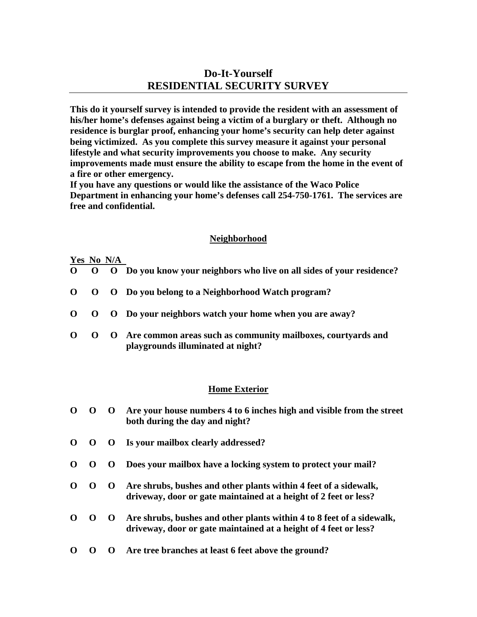# **Do-It-Yourself RESIDENTIAL SECURITY SURVEY**

**This do it yourself survey is intended to provide the resident with an assessment of his/her home's defenses against being a victim of a burglary or theft. Although no residence is burglar proof, enhancing your home's security can help deter against being victimized. As you complete this survey measure it against your personal lifestyle and what security improvements you choose to make. Any security improvements made must ensure the ability to escape from the home in the event of a fire or other emergency.** 

**If you have any questions or would like the assistance of the Waco Police Department in enhancing your home's defenses call 254-750-1761. The services are free and confidential.** 

## **Neighborhood**

### **Yes No N/A**

- **O O O Do you know your neighbors who live on all sides of your residence?**
- **O O O Do you belong to a Neighborhood Watch program?**
- **O O O Do your neighbors watch your home when you are away?**
- **O O O Are common areas such as community mailboxes, courtyards and playgrounds illuminated at night?**

#### **Home Exterior**

- **O O O Are your house numbers 4 to 6 inches high and visible from the street both during the day and night?**
- **O O O Is your mailbox clearly addressed?**
- **O O O Does your mailbox have a locking system to protect your mail?**
- **O O O Are shrubs, bushes and other plants within 4 feet of a sidewalk, driveway, door or gate maintained at a height of 2 feet or less?**
- **O O O Are shrubs, bushes and other plants within 4 to 8 feet of a sidewalk, driveway, door or gate maintained at a height of 4 feet or less?**
- **O O O Are tree branches at least 6 feet above the ground?**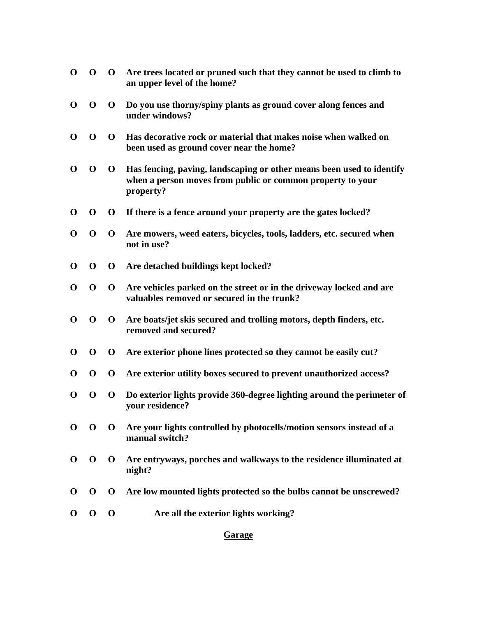- **O O O Are trees located or pruned such that they cannot be used to climb to an upper level of the home?**
- **O O O Do you use thorny/spiny plants as ground cover along fences and under windows?**
- **O O O Has decorative rock or material that makes noise when walked on been used as ground cover near the home?**
- **O O O Has fencing, paving, landscaping or other means been used to identify when a person moves from public or common property to your property?**
- **O O O If there is a fence around your property are the gates locked?**
- **O O O Are mowers, weed eaters, bicycles, tools, ladders, etc. secured when not in use?**
- **O O O Are detached buildings kept locked?**
- **O O O Are vehicles parked on the street or in the driveway locked and are valuables removed or secured in the trunk?**
- **O O O Are boats/jet skis secured and trolling motors, depth finders, etc. removed and secured?**
- **O O O Are exterior phone lines protected so they cannot be easily cut?**
- **O O O Are exterior utility boxes secured to prevent unauthorized access?**
- **O O O Do exterior lights provide 360-degree lighting around the perimeter of your residence?**
- **O O O Are your lights controlled by photocells/motion sensors instead of a manual switch?**
- **O O O Are entryways, porches and walkways to the residence illuminated at night?**
- **O O O Are low mounted lights protected so the bulbs cannot be unscrewed?**
- **O O O Are all the exterior lights working?**

**Garage**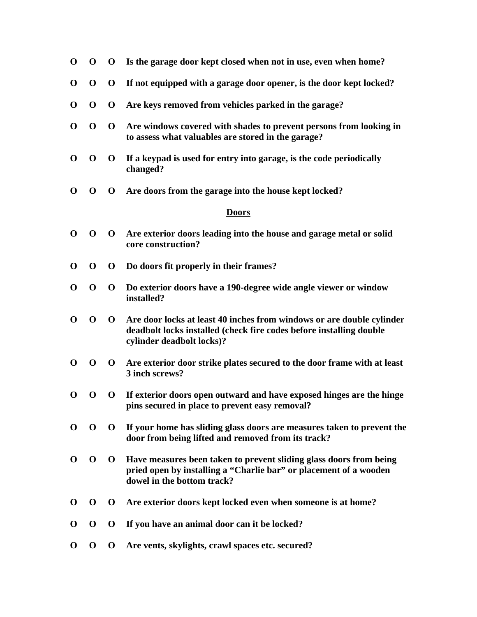- **O O O Is the garage door kept closed when not in use, even when home?**
- **O O O If not equipped with a garage door opener, is the door kept locked?**
- **O O O Are keys removed from vehicles parked in the garage?**
- **O O O Are windows covered with shades to prevent persons from looking in to assess what valuables are stored in the garage?**
- **O O O If a keypad is used for entry into garage, is the code periodically changed?**
- **O O O Are doors from the garage into the house kept locked?**

#### **Doors**

- **O O O Are exterior doors leading into the house and garage metal or solid core construction?**
- **O O O Do doors fit properly in their frames?**
- **O O O Do exterior doors have a 190-degree wide angle viewer or window installed?**
- **O O O Are door locks at least 40 inches from windows or are double cylinder deadbolt locks installed (check fire codes before installing double cylinder deadbolt locks)?**
- **O O O Are exterior door strike plates secured to the door frame with at least 3 inch screws?**
- **O O O If exterior doors open outward and have exposed hinges are the hinge pins secured in place to prevent easy removal?**
- **O O O If your home has sliding glass doors are measures taken to prevent the door from being lifted and removed from its track?**
- **O O O Have measures been taken to prevent sliding glass doors from being pried open by installing a "Charlie bar" or placement of a wooden dowel in the bottom track?**
- **O O O Are exterior doors kept locked even when someone is at home?**
- **O O O If you have an animal door can it be locked?**
- **O O O Are vents, skylights, crawl spaces etc. secured?**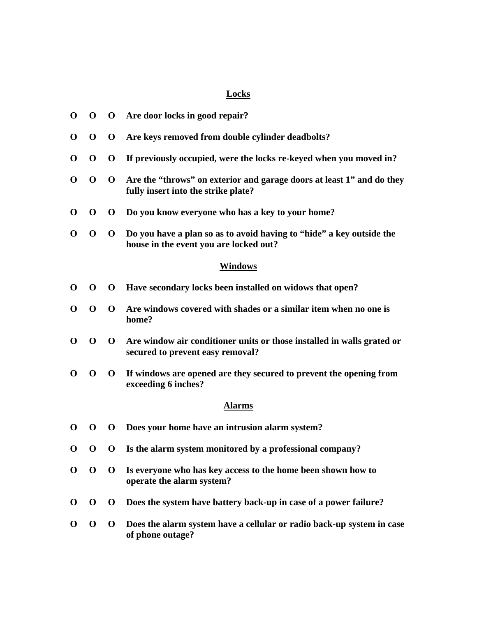## **Locks**

| $\mathbf 0$    | $\mathbf 0$ | $\mathbf 0$  | Are door locks in good repair?                                                                                 |  |  |  |
|----------------|-------------|--------------|----------------------------------------------------------------------------------------------------------------|--|--|--|
| $\mathbf 0$    | $\mathbf 0$ | $\mathbf 0$  | Are keys removed from double cylinder deadbolts?                                                               |  |  |  |
| $\bf{0}$       | $\mathbf 0$ | $\mathbf 0$  | If previously occupied, were the locks re-keyed when you moved in?                                             |  |  |  |
| $\bf{0}$       | $\mathbf 0$ | $\mathbf 0$  | Are the "throws" on exterior and garage doors at least 1" and do they<br>fully insert into the strike plate?   |  |  |  |
| $\mathbf 0$    | $\mathbf 0$ | $\mathbf 0$  | Do you know everyone who has a key to your home?                                                               |  |  |  |
| $\bf{0}$       | $\mathbf 0$ | $\mathbf 0$  | Do you have a plan so as to avoid having to "hide" a key outside the<br>house in the event you are locked out? |  |  |  |
| <b>Windows</b> |             |              |                                                                                                                |  |  |  |
| $\mathbf 0$    | $\mathbf 0$ | $\mathbf 0$  | Have secondary locks been installed on widows that open?                                                       |  |  |  |
| $\bf{0}$       | $\mathbf 0$ | $\mathbf 0$  | Are windows covered with shades or a similar item when no one is<br>home?                                      |  |  |  |
| $\bf{0}$       | $\mathbf 0$ | $\mathbf{0}$ | Are window air conditioner units or those installed in walls grated or<br>secured to prevent easy removal?     |  |  |  |
| $\bf{0}$       | $\mathbf 0$ | $\mathbf 0$  | If windows are opened are they secured to prevent the opening from<br>exceeding 6 inches?                      |  |  |  |
| <b>Alarms</b>  |             |              |                                                                                                                |  |  |  |
| $\bf{0}$       | $\mathbf 0$ | $\mathbf 0$  | Does your home have an intrusion alarm system?                                                                 |  |  |  |
| $\bf{0}$       | $\mathbf 0$ | $\bf{0}$     | Is the alarm system monitored by a professional company?                                                       |  |  |  |
| $\bf{0}$       | $\mathbf 0$ | $\mathbf{O}$ | Is everyone who has key access to the home been shown how to<br>operate the alarm system?                      |  |  |  |
| $\bf{O}$       | $\mathbf 0$ | $\mathbf 0$  | Does the system have battery back-up in case of a power failure?                                               |  |  |  |
| O              | $\mathbf 0$ | $\mathbf 0$  | Does the alarm system have a cellular or radio back-up system in case<br>of phone outage?                      |  |  |  |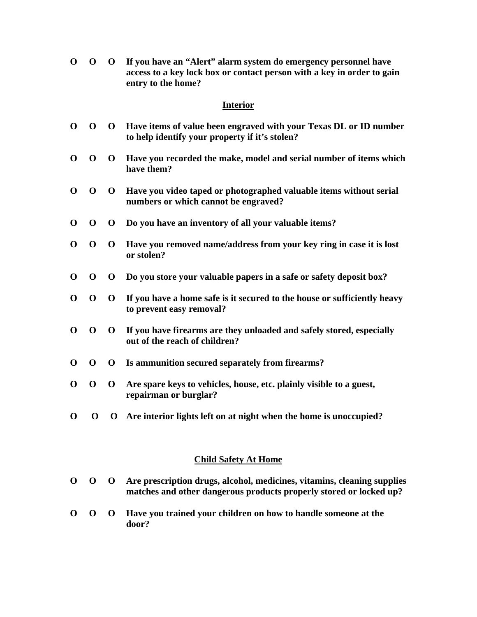**O O O If you have an "Alert" alarm system do emergency personnel have access to a key lock box or contact person with a key in order to gain entry to the home?** 

## **Interior**

- **O O O Have items of value been engraved with your Texas DL or ID number to help identify your property if it's stolen?**
- **O O O Have you recorded the make, model and serial number of items which have them?**
- **O O O Have you video taped or photographed valuable items without serial numbers or which cannot be engraved?**
- **O O O Do you have an inventory of all your valuable items?**
- **O O O Have you removed name/address from your key ring in case it is lost or stolen?**
- **O O O Do you store your valuable papers in a safe or safety deposit box?**
- **O O O If you have a home safe is it secured to the house or sufficiently heavy to prevent easy removal?**
- **O O O If you have firearms are they unloaded and safely stored, especially out of the reach of children?**
- **O O O Is ammunition secured separately from firearms?**
- **O O O Are spare keys to vehicles, house, etc. plainly visible to a guest, repairman or burglar?**
- **O O O Are interior lights left on at night when the home is unoccupied?**

## **Child Safety At Home**

- **O O O Are prescription drugs, alcohol, medicines, vitamins, cleaning supplies matches and other dangerous products properly stored or locked up?**
- **O O O Have you trained your children on how to handle someone at the door?**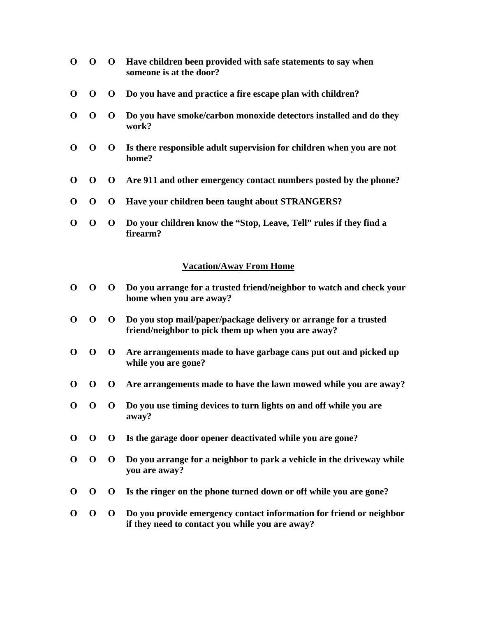- **O O O Have children been provided with safe statements to say when someone is at the door?**
- **O O O Do you have and practice a fire escape plan with children?**
- **O O O Do you have smoke/carbon monoxide detectors installed and do they work?**
- **O O O Is there responsible adult supervision for children when you are not home?**
- **O O O Are 911 and other emergency contact numbers posted by the phone?**
- **O O O Have your children been taught about STRANGERS?**
- **O O O Do your children know the "Stop, Leave, Tell" rules if they find a firearm?**

### **Vacation/Away From Home**

- **O O O Do you arrange for a trusted friend/neighbor to watch and check your home when you are away?**
- **O O O Do you stop mail/paper/package delivery or arrange for a trusted friend/neighbor to pick them up when you are away?**
- **O O O Are arrangements made to have garbage cans put out and picked up while you are gone?**
- **O O O Are arrangements made to have the lawn mowed while you are away?**
- **O O O Do you use timing devices to turn lights on and off while you are away?**
- **O O O Is the garage door opener deactivated while you are gone?**
- **O O O Do you arrange for a neighbor to park a vehicle in the driveway while you are away?**
- **O O O Is the ringer on the phone turned down or off while you are gone?**
- **O O O Do you provide emergency contact information for friend or neighbor if they need to contact you while you are away?**